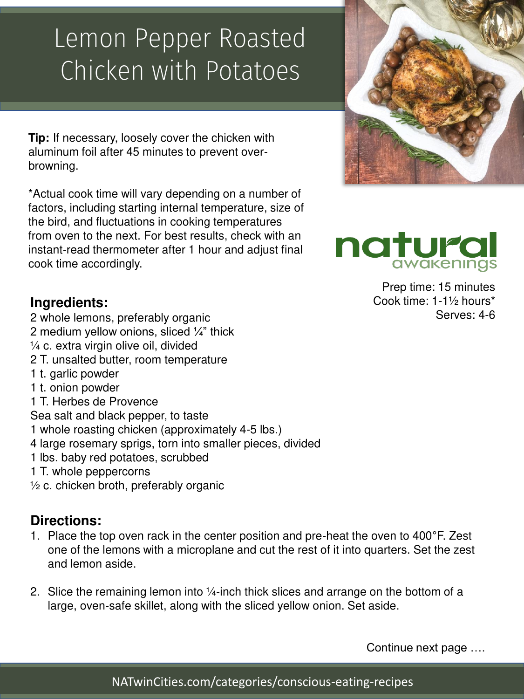## Lemon Pepper Roasted Chicken with Potatoes

**Tip:** If necessary, loosely cover the chicken with aluminum foil after 45 minutes to prevent overbrowning.

\*Actual cook time will vary depending on a number of factors, including starting internal temperature, size of the bird, and fluctuations in cooking temperatures from oven to the next. For best results, check with an instant-read thermometer after 1 hour and adjust final cook time accordingly.

### **Ingredients:**

2 whole lemons, preferably organic 2 medium yellow onions, sliced ¼" thick  $\frac{1}{4}$  c. extra virgin olive oil, divided 2 T. unsalted butter, room temperature 1 t. garlic powder 1 t. onion powder 1 T. Herbes de Provence Sea salt and black pepper, to taste 1 whole roasting chicken (approximately 4-5 lbs.) 4 large rosemary sprigs, torn into smaller pieces, divided 1 lbs. baby red potatoes, scrubbed 1 T. whole peppercorns ½ c. chicken broth, preferably organic

## **Directions:**

- 1. Place the top oven rack in the center position and pre-heat the oven to 400°F. Zest one of the lemons with a microplane and cut the rest of it into quarters. Set the zest and lemon aside.
- 2. Slice the remaining lemon into ¼-inch thick slices and arrange on the bottom of a large, oven-safe skillet, along with the sliced yellow onion. Set aside.

Continue next page ….

natural Prep time: 15 minutes Cook time: 1-1½ hours\*

Serves: 4-6